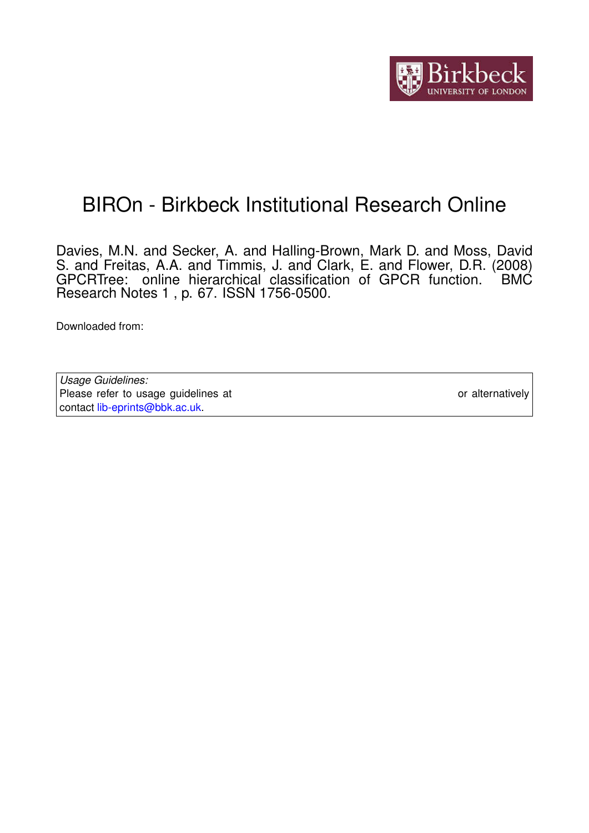

# BIROn - Birkbeck Institutional Research Online

Davies, M.N. and Secker, A. and Halling-Brown, Mark D. and Moss, David S. and Freitas, A.A. and Timmis, J. and Clark, E. and Flower, D.R. (2008) GPCRTree: online hierarchical classification of GPCR function. Research Notes 1 , p. 67. ISSN 1756-0500.

Downloaded from: <https://eprints.bbk.ac.uk/id/eprint/1047/>

*Usage Guidelines:* Please refer to usage guidelines at <https://eprints.bbk.ac.uk/policies.html> or alternatively contact [lib-eprints@bbk.ac.uk.](mailto:lib-eprints@bbk.ac.uk)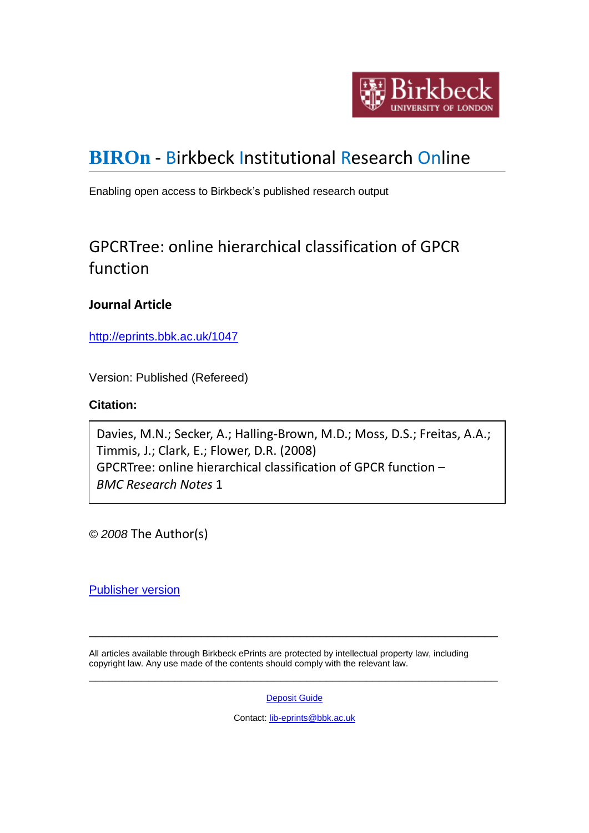

# **[BIROn](http://eprints.bbk.ac.uk/irstats.cgi)** - Birkbeck Institutional Research Online

Enabling open access to Birkbeck's published research output

# GPCRTree: online hierarchical classification of GPCR function

### **Journal Article**

<http://eprints.bbk.ac.uk/1047>

Version: Published (Refereed)

### **Citation:**

Davies, M.N.; Secker, A.; Halling-Brown, M.D.; Moss, D.S.; Freitas, A.A.; Timmis, J.; Clark, E.; Flower, D.R. (2008) GPCRTree: online hierarchical classification of GPCR function – *BMC Research Notes* 1

*© 2008* The Author(s)

[Publisher version](http://dx.doi.org/10.1186/1756-0500-1-67)

All articles available through Birkbeck ePrints are protected by intellectual property law, including copyright law. Any use made of the contents should comply with the relevant law. \_\_\_\_\_\_\_\_\_\_\_\_\_\_\_\_\_\_\_\_\_\_\_\_\_\_\_\_\_\_\_\_\_\_\_\_\_\_\_\_\_\_\_\_\_\_\_\_\_\_\_\_\_\_\_\_\_\_\_\_\_\_

**[Deposit Guide](http://eprints.bbk.ac.uk/deposit_guide.html)** 

\_\_\_\_\_\_\_\_\_\_\_\_\_\_\_\_\_\_\_\_\_\_\_\_\_\_\_\_\_\_\_\_\_\_\_\_\_\_\_\_\_\_\_\_\_\_\_\_\_\_\_\_\_\_\_\_\_\_\_\_\_\_

Contact: [lib-eprints@bbk.ac.uk](mailto:lib-eprints@bbk.ac.uk)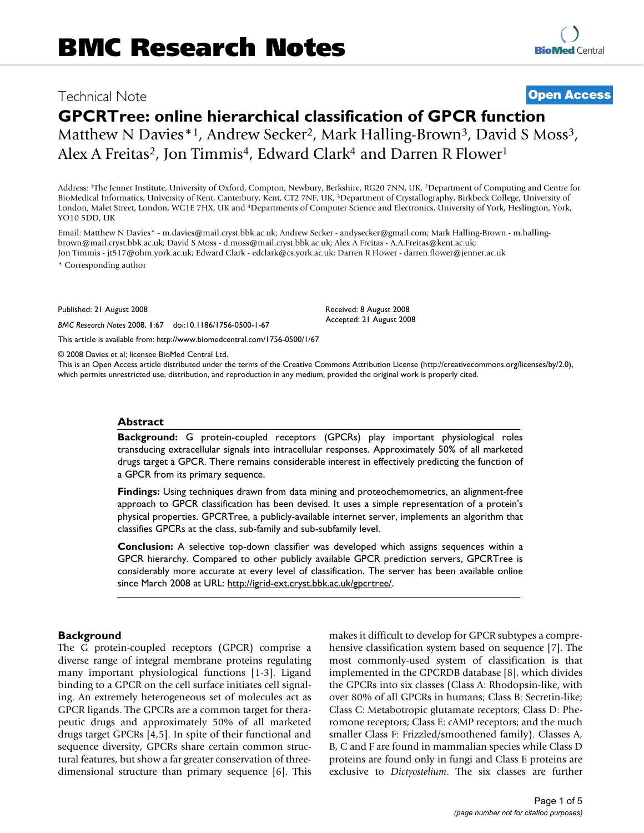### Technical Note **[Open Access](http://www.biomedcentral.com/info/about/charter/)**

## **GPCRTree: online hierarchical classification of GPCR function**

Matthew N Davies<sup>\*1</sup>, Andrew Secker<sup>2</sup>, Mark Halling-Brown<sup>3</sup>, David S Moss<sup>3</sup>, Alex A Freitas<sup>2</sup>, Jon Timmis<sup>4</sup>, Edward Clark<sup>4</sup> and Darren R Flower<sup>1</sup>

Address: 1The Jenner Institute, University of Oxford, Compton, Newbury, Berkshire, RG20 7NN, UK, 2Department of Computing and Centre for BioMedical Informatics, University of Kent, Canterbury, Kent, CT2 7NF, UK, 3Department of Crystallography, Birkbeck College, University of London, Malet Street, London, WC1E 7HX, UK and 4Departments of Computer Science and Electronics, University of York, Heslington, York, YO10 5DD, UK

Email: Matthew N Davies\* - m.davies@mail.cryst.bbk.ac.uk; Andrew Secker - andysecker@gmail.com; Mark Halling-Brown - m.hallingbrown@mail.cryst.bbk.ac.uk; David S Moss - d.moss@mail.cryst.bbk.ac.uk; Alex A Freitas - A.A.Freitas@kent.ac.uk; Jon Timmis - jt517@ohm.york.ac.uk; Edward Clark - edclark@cs.york.ac.uk; Darren R Flower - darren.flower@jenner.ac.uk \* Corresponding author

Published: 21 August 2008

*BMC Research Notes* 2008, **1**:67 doi:10.1186/1756-0500-1-67

[This article is available from: http://www.biomedcentral.com/1756-0500/1/67](http://www.biomedcentral.com/1756-0500/1/67)

© 2008 Davies et al; licensee BioMed Central Ltd.

This is an Open Access article distributed under the terms of the Creative Commons Attribution License (http://creativecommons.org/licenses/by/2.0), which permits unrestricted use, distribution, and reproduction in any medium, provided the original work is properly cited.

Received: 8 August 2008 Accepted: 21 August 2008

#### **Abstract**

**Background:** G protein-coupled receptors (GPCRs) play important physiological roles transducing extracellular signals into intracellular responses. Approximately 50% of all marketed drugs target a GPCR. There remains considerable interest in effectively predicting the function of a GPCR from its primary sequence.

**Findings:** Using techniques drawn from data mining and proteochemometrics, an alignment-free approach to GPCR classification has been devised. It uses a simple representation of a protein's physical properties. GPCRTree, a publicly-available internet server, implements an algorithm that classifies GPCRs at the class, sub-family and sub-subfamily level.

**Conclusion:** A selective top-down classifier was developed which assigns sequences within a GPCR hierarchy. Compared to other publicly available GPCR prediction servers, GPCRTree is considerably more accurate at every level of classification. The server has been available online since March 2008 at URL: [http://igrid-ext.cryst.bbk.ac.uk/gpcrtree/.](http://igrid-ext.cryst.bbk.ac.uk/gpcrtree/)

#### **Background**

The G protein-coupled receptors (GPCR) comprise a diverse range of integral membrane proteins regulating many important physiological functions [1-3]. Ligand binding to a GPCR on the cell surface initiates cell signaling. An extremely heterogeneous set of molecules act as GPCR ligands. The GPCRs are a common target for therapeutic drugs and approximately 50% of all marketed drugs target GPCRs [4,5]. In spite of their functional and sequence diversity, GPCRs share certain common structural features, but show a far greater conservation of threedimensional structure than primary sequence [6]. This makes it difficult to develop for GPCR subtypes a comprehensive classification system based on sequence [7]. The most commonly-used system of classification is that implemented in the GPCRDB database [8], which divides the GPCRs into six classes (Class A: Rhodopsin-like, with over 80% of all GPCRs in humans; Class B: Secretin-like; Class C: Metabotropic glutamate receptors; Class D: Pheromone receptors; Class E: cAMP receptors; and the much smaller Class F: Frizzled/smoothened family). Classes A, B, C and F are found in mammalian species while Class D proteins are found only in fungi and Class E proteins are exclusive to *Dictyostelium*. The six classes are further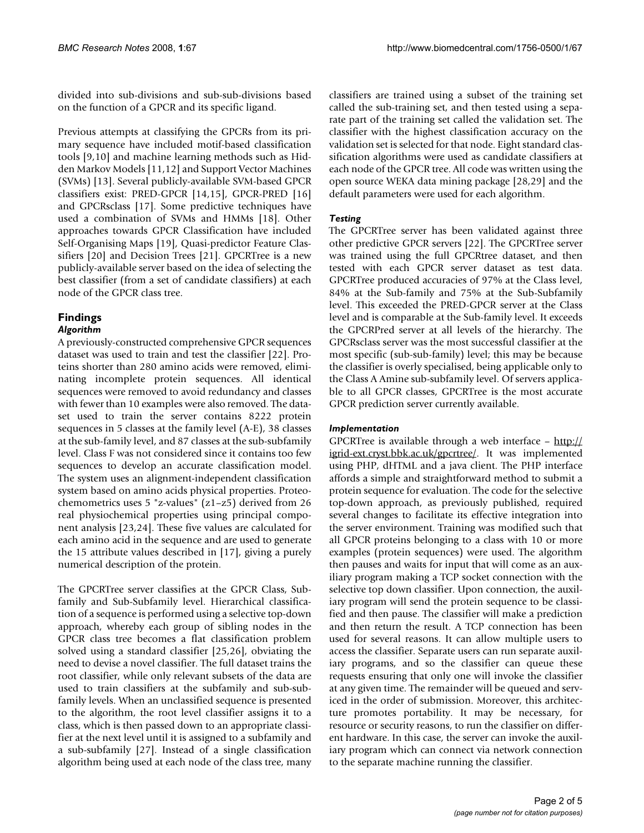divided into sub-divisions and sub-sub-divisions based on the function of a GPCR and its specific ligand.

Previous attempts at classifying the GPCRs from its primary sequence have included motif-based classification tools [9,10] and machine learning methods such as Hidden Markov Models [11,12] and Support Vector Machines (SVMs) [13]. Several publicly-available SVM-based GPCR classifiers exist: PRED-GPCR [14,15], GPCR-PRED [16] and GPCRsclass [17]. Some predictive techniques have used a combination of SVMs and HMMs [18]. Other approaches towards GPCR Classification have included Self-Organising Maps [19], Quasi-predictor Feature Classifiers [20] and Decision Trees [21]. GPCRTree is a new publicly-available server based on the idea of selecting the best classifier (from a set of candidate classifiers) at each node of the GPCR class tree.

### **Findings**

# *Algorithm*

A previously-constructed comprehensive GPCR sequences dataset was used to train and test the classifier [22]. Proteins shorter than 280 amino acids were removed, eliminating incomplete protein sequences. All identical sequences were removed to avoid redundancy and classes with fewer than 10 examples were also removed. The dataset used to train the server contains 8222 protein sequences in 5 classes at the family level (A-E), 38 classes at the sub-family level, and 87 classes at the sub-subfamily level. Class F was not considered since it contains too few sequences to develop an accurate classification model. The system uses an alignment-independent classification system based on amino acids physical properties. Proteochemometrics uses 5 "z-values" (z1–z5) derived from 26 real physiochemical properties using principal component analysis [23,24]. These five values are calculated for each amino acid in the sequence and are used to generate the 15 attribute values described in [17], giving a purely numerical description of the protein.

The GPCRTree server classifies at the GPCR Class, Subfamily and Sub-Subfamily level. Hierarchical classification of a sequence is performed using a selective top-down approach, whereby each group of sibling nodes in the GPCR class tree becomes a flat classification problem solved using a standard classifier [25,26], obviating the need to devise a novel classifier. The full dataset trains the root classifier, while only relevant subsets of the data are used to train classifiers at the subfamily and sub-subfamily levels. When an unclassified sequence is presented to the algorithm, the root level classifier assigns it to a class, which is then passed down to an appropriate classifier at the next level until it is assigned to a subfamily and a sub-subfamily [27]. Instead of a single classification algorithm being used at each node of the class tree, many

classifiers are trained using a subset of the training set called the sub-training set, and then tested using a separate part of the training set called the validation set. The classifier with the highest classification accuracy on the validation set is selected for that node. Eight standard classification algorithms were used as candidate classifiers at each node of the GPCR tree. All code was written using the open source WEKA data mining package [28,29] and the default parameters were used for each algorithm.

#### *Testing*

The GPCRTree server has been validated against three other predictive GPCR servers [22]. The GPCRTree server was trained using the full GPCRtree dataset, and then tested with each GPCR server dataset as test data. GPCRTree produced accuracies of 97% at the Class level, 84% at the Sub-family and 75% at the Sub-Subfamily level. This exceeded the PRED-GPCR server at the Class level and is comparable at the Sub-family level. It exceeds the GPCRPred server at all levels of the hierarchy. The GPCRsclass server was the most successful classifier at the most specific (sub-sub-family) level; this may be because the classifier is overly specialised, being applicable only to the Class A Amine sub-subfamily level. Of servers applicable to all GPCR classes, GPCRTree is the most accurate GPCR prediction server currently available.

#### *Implementation*

GPCRTree is available through a web interface – [http://](http://igrid-ext.cryst.bbk.ac.uk/gpcrtree/) [igrid-ext.cryst.bbk.ac.uk/gpcrtree/](http://igrid-ext.cryst.bbk.ac.uk/gpcrtree/). It was implemented using PHP, dHTML and a java client. The PHP interface affords a simple and straightforward method to submit a protein sequence for evaluation. The code for the selective top-down approach, as previously published, required several changes to facilitate its effective integration into the server environment. Training was modified such that all GPCR proteins belonging to a class with 10 or more examples (protein sequences) were used. The algorithm then pauses and waits for input that will come as an auxiliary program making a TCP socket connection with the selective top down classifier. Upon connection, the auxiliary program will send the protein sequence to be classified and then pause. The classifier will make a prediction and then return the result. A TCP connection has been used for several reasons. It can allow multiple users to access the classifier. Separate users can run separate auxiliary programs, and so the classifier can queue these requests ensuring that only one will invoke the classifier at any given time. The remainder will be queued and serviced in the order of submission. Moreover, this architecture promotes portability. It may be necessary, for resource or security reasons, to run the classifier on different hardware. In this case, the server can invoke the auxiliary program which can connect via network connection to the separate machine running the classifier.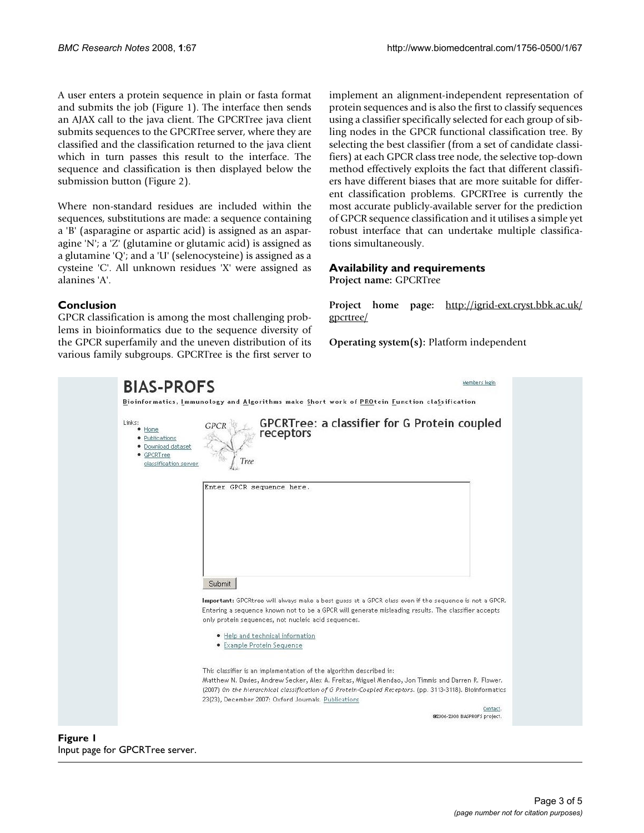A user enters a protein sequence in plain or fasta format and submits the job (Figure 1). The interface then sends an AJAX call to the java client. The GPCRTree java client submits sequences to the GPCRTree server, where they are classified and the classification returned to the java client which in turn passes this result to the interface. The sequence and classification is then displayed below the submission button (Figure 2).

Where non-standard residues are included within the sequences, substitutions are made: a sequence containing a 'B' (asparagine or aspartic acid) is assigned as an asparagine 'N'; a 'Z' (glutamine or glutamic acid) is assigned as a glutamine 'Q'; and a 'U' (selenocysteine) is assigned as a cysteine 'C'. All unknown residues 'X' were assigned as alanines 'A'.

#### **Conclusion**

GPCR classification is among the most challenging problems in bioinformatics due to the sequence diversity of the GPCR superfamily and the uneven distribution of its various family subgroups. GPCRTree is the first server to implement an alignment-independent representation of protein sequences and is also the first to classify sequences using a classifier specifically selected for each group of sibling nodes in the GPCR functional classification tree. By selecting the best classifier (from a set of candidate classifiers) at each GPCR class tree node, the selective top-down method effectively exploits the fact that different classifiers have different biases that are more suitable for different classification problems. GPCRTree is currently the most accurate publicly-available server for the prediction of GPCR sequence classification and it utilises a simple yet robust interface that can undertake multiple classifications simultaneously.

### **Availability and requirements**

**Project name:** GPCRTree

**Project home page:** [http://igrid-ext.cryst.bbk.ac.uk/](http://igrid-ext.cryst.bbk.ac.uk/gpcrtree/) [gpcrtree/](http://igrid-ext.cryst.bbk.ac.uk/gpcrtree/)

**Operating system(s):** Platform independent

| <b>BIAS-PROFS</b>                                                                             | Bioinformatics, Immunology and Algorithms make Short work of PROtein Function claSsification                                                                                                                                                                            | Members login                             |  |
|-----------------------------------------------------------------------------------------------|-------------------------------------------------------------------------------------------------------------------------------------------------------------------------------------------------------------------------------------------------------------------------|-------------------------------------------|--|
| Links:<br>Home<br>· Publications<br>· Download dataset<br>• GPCRTree<br>classification server | <b>GPCRTree: a classifier for G Protein coupled</b><br><b>GPCR</b><br>receptors<br><i>lree</i>                                                                                                                                                                          |                                           |  |
|                                                                                               | Enter GPCR sequence here.                                                                                                                                                                                                                                               |                                           |  |
|                                                                                               | Submit                                                                                                                                                                                                                                                                  |                                           |  |
|                                                                                               | Important: GPCRtree will always make a best guess at a GPCR class even if the sequence is not a GPCR.                                                                                                                                                                   |                                           |  |
|                                                                                               | Entering a sequence known not to be a GPCR will generate misleading results. The classifier accepts                                                                                                                                                                     |                                           |  |
|                                                                                               | only protein sequences, not nucleic acid sequences.                                                                                                                                                                                                                     |                                           |  |
|                                                                                               | . Help and technical information                                                                                                                                                                                                                                        |                                           |  |
|                                                                                               | · Example Protein Sequence                                                                                                                                                                                                                                              |                                           |  |
|                                                                                               | This classifier is an implementation of the algorithm described in:                                                                                                                                                                                                     |                                           |  |
|                                                                                               | Matthew N. Davies, Andrew Secker, Alex A. Freitas, Miguel Mendao, Jon Timmis and Darren R. Flower.<br>(2007) On the hierarchical classification of G Protein-Coupled Receptors. (pp. 3113-3118). Bioinformatics<br>23(23), December 2007: Oxford Journals, Publications |                                           |  |
|                                                                                               |                                                                                                                                                                                                                                                                         | Contact.<br>@2006-2008 BIASPROFS project. |  |
| Figure I                                                                                      |                                                                                                                                                                                                                                                                         |                                           |  |

Input page for GPCRTree server.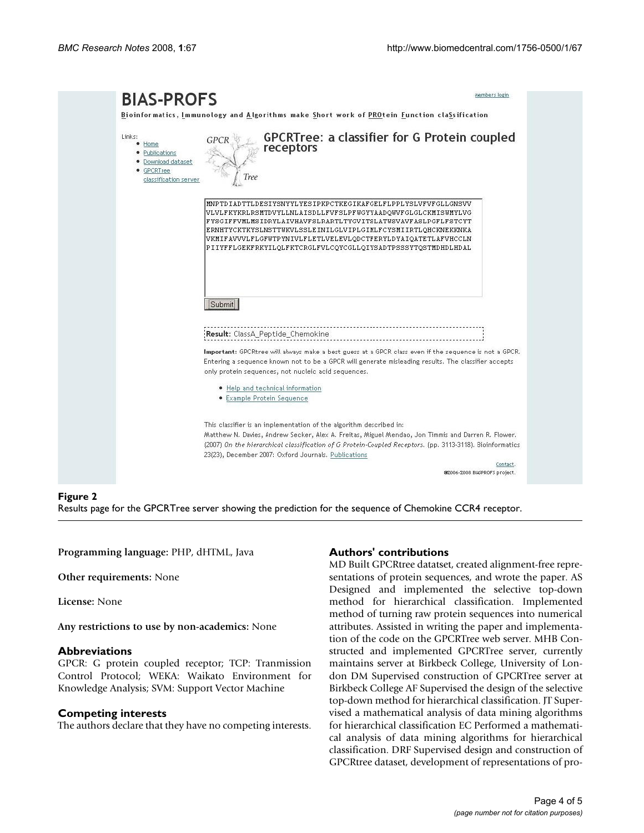

Results page for the GPCRTree server showing the prediction for the sequence of Chemokine CCR4 receptor.

**Programming language:** PHP, dHTML, Java

**Other requirements:** None

**License:** None

**Any restrictions to use by non-academics:** None

#### **Abbreviations**

GPCR: G protein coupled receptor; TCP: Tranmission Control Protocol; WEKA: Waikato Environment for Knowledge Analysis; SVM: Support Vector Machine

#### **Competing interests**

The authors declare that they have no competing interests.

#### **Authors' contributions**

MD Built GPCRtree datatset, created alignment-free representations of protein sequences, and wrote the paper. AS Designed and implemented the selective top-down method for hierarchical classification. Implemented method of turning raw protein sequences into numerical attributes. Assisted in writing the paper and implementation of the code on the GPCRTree web server. MHB Constructed and implemented GPCRTree server, currently maintains server at Birkbeck College, University of London DM Supervised construction of GPCRTree server at Birkbeck College AF Supervised the design of the selective top-down method for hierarchical classification. JT Supervised a mathematical analysis of data mining algorithms for hierarchical classification EC Performed a mathematical analysis of data mining algorithms for hierarchical classification. DRF Supervised design and construction of GPCRtree dataset, development of representations of pro-